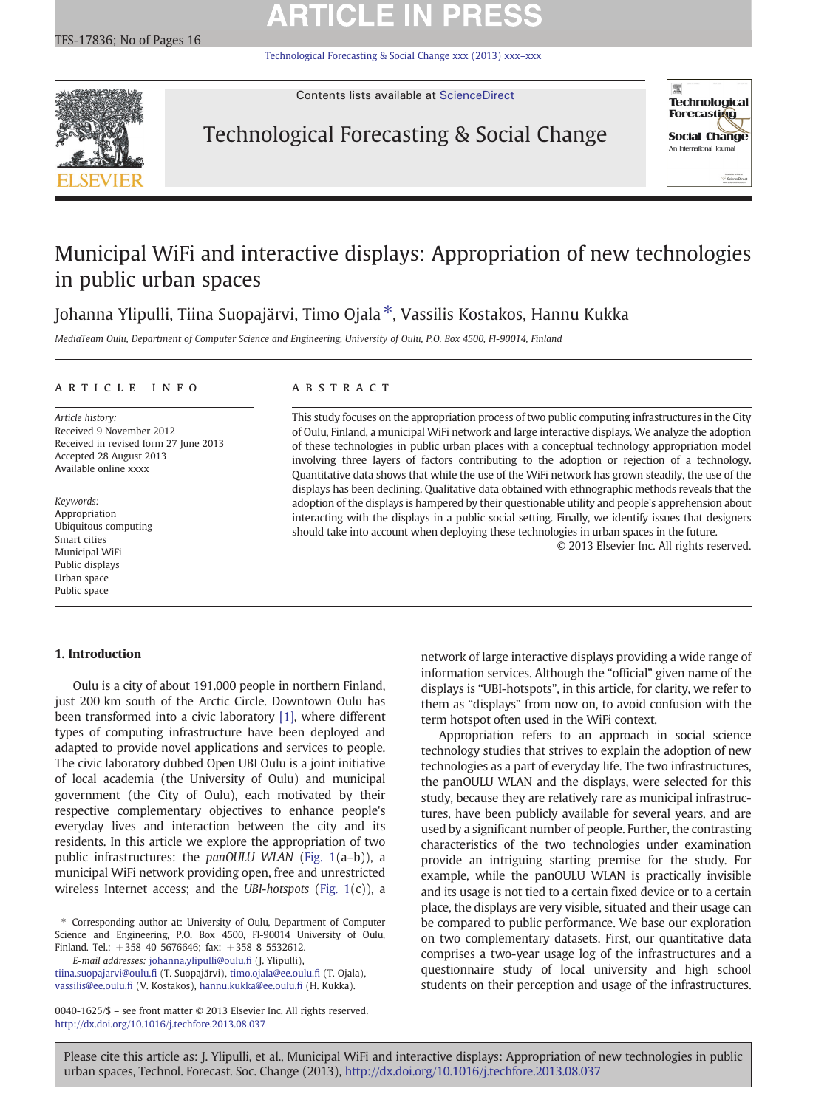# **ARTICLE IN PRESS**

[Technological Forecasting & Social Change xxx \(2013\) xxx](http://dx.doi.org/10.1016/j.techfore.2013.08.037)–xxx



Contents lists available at [ScienceDirect](http://www.sciencedirect.com/science/journal/00401625)

## Technological Forecasting & Social Change



## Municipal WiFi and interactive displays: Appropriation of new technologies in public urban spaces

Johanna Ylipulli, Tiina Suopajärvi, Timo Ojala ⁎, Vassilis Kostakos, Hannu Kukka

MediaTeam Oulu, Department of Computer Science and Engineering, University of Oulu, P.O. Box 4500, FI-90014, Finland

### article info abstract

Article history: Received 9 November 2012 Received in revised form 27 June 2013 Accepted 28 August 2013 Available online xxxx

Keywords: Appropriation Ubiquitous computing Smart cities Municipal WiFi Public displays Urban space Public space

This study focuses on the appropriation process of two public computing infrastructures in the City of Oulu, Finland, a municipal WiFi network and large interactive displays. We analyze the adoption of these technologies in public urban places with a conceptual technology appropriation model involving three layers of factors contributing to the adoption or rejection of a technology. Quantitative data shows that while the use of the WiFi network has grown steadily, the use of the displays has been declining. Qualitative data obtained with ethnographic methods reveals that the adoption of the displays is hampered by their questionable utility and people's apprehension about interacting with the displays in a public social setting. Finally, we identify issues that designers should take into account when deploying these technologies in urban spaces in the future.

© 2013 Elsevier Inc. All rights reserved.

### 1. Introduction

Oulu is a city of about 191.000 people in northern Finland, just 200 km south of the Arctic Circle. Downtown Oulu has been transformed into a civic laboratory [\[1\],](#page--1-0) where different types of computing infrastructure have been deployed and adapted to provide novel applications and services to people. The civic laboratory dubbed Open UBI Oulu is a joint initiative of local academia (the University of Oulu) and municipal government (the City of Oulu), each motivated by their respective complementary objectives to enhance people's everyday lives and interaction between the city and its residents. In this article we explore the appropriation of two public infrastructures: the panOULU WLAN [\(Fig. 1\(](#page-1-0)a–b)), a municipal WiFi network providing open, free and unrestricted wireless Internet access; and the UBI-hotspots [\(Fig. 1\(](#page-1-0)c)), a

E-mail addresses: [johanna.ylipulli@oulu.](mailto:johanna.ylipulli@oulu.fi)fi (J. Ylipulli),

[tiina.suopajarvi@oulu.](mailto:tiina.suopajarvi@oulu.fi)fi (T. Suopajärvi), [timo.ojala@ee.oulu.](mailto:timo.ojala@ee.oulu.fi)fi (T. Ojala), [vassilis@ee.oulu.](mailto:vassilis@ee.oulu.fi)fi (V. Kostakos), [hannu.kukka@ee.oulu.](mailto:hannu.kukka@ee.oulu.fi)fi (H. Kukka).

network of large interactive displays providing a wide range of information services. Although the "official" given name of the displays is "UBI-hotspots", in this article, for clarity, we refer to them as "displays" from now on, to avoid confusion with the term hotspot often used in the WiFi context.

Appropriation refers to an approach in social science technology studies that strives to explain the adoption of new technologies as a part of everyday life. The two infrastructures, the panOULU WLAN and the displays, were selected for this study, because they are relatively rare as municipal infrastructures, have been publicly available for several years, and are used by a significant number of people. Further, the contrasting characteristics of the two technologies under examination provide an intriguing starting premise for the study. For example, while the panOULU WLAN is practically invisible and its usage is not tied to a certain fixed device or to a certain place, the displays are very visible, situated and their usage can be compared to public performance. We base our exploration on two complementary datasets. First, our quantitative data comprises a two-year usage log of the infrastructures and a questionnaire study of local university and high school students on their perception and usage of the infrastructures.

Please cite this article as: J. Ylipulli, et al., Municipal WiFi and interactive displays: Appropriation of new technologies in public urban spaces, Technol. Forecast. Soc. Change (2013), <http://dx.doi.org/10.1016/j.techfore.2013.08.037>

<sup>⁎</sup> Corresponding author at: University of Oulu, Department of Computer Science and Engineering, P.O. Box 4500, FI-90014 University of Oulu, Finland. Tel.: +358 40 5676646; fax: +358 8 5532612.

<sup>0040-1625/\$</sup> – see front matter © 2013 Elsevier Inc. All rights reserved. <http://dx.doi.org/10.1016/j.techfore.2013.08.037>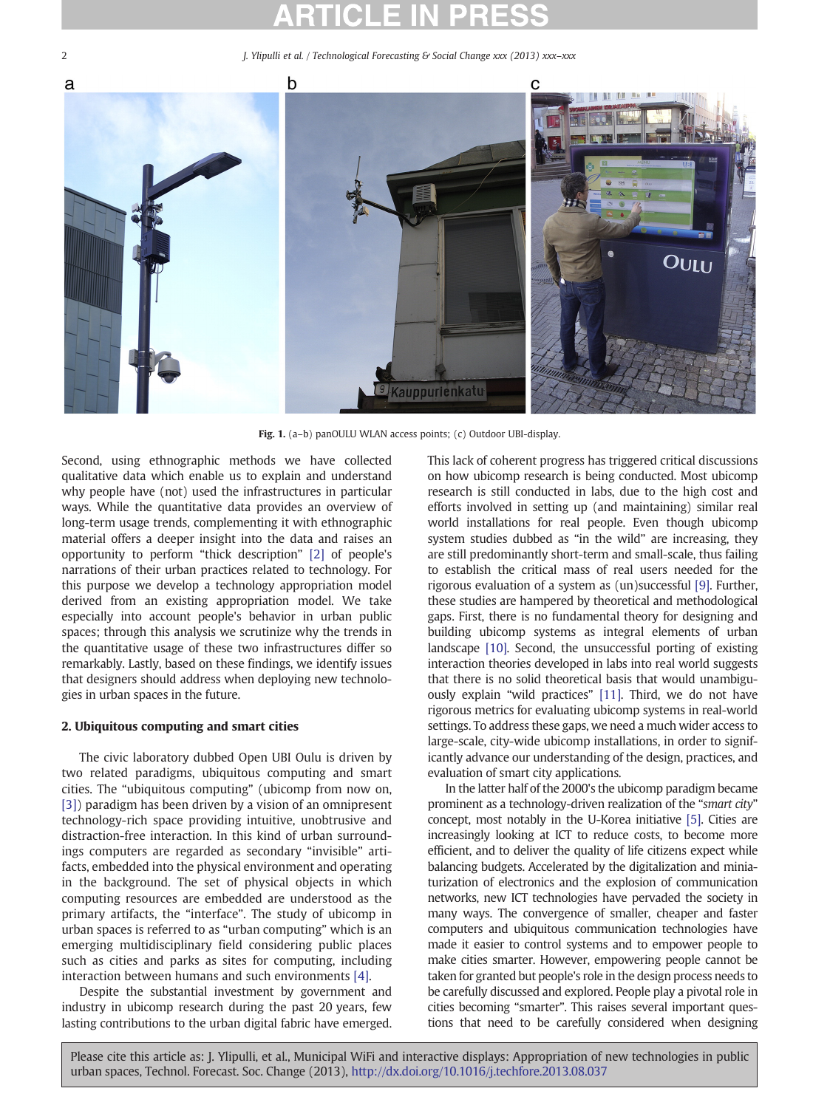<span id="page-1-0"></span>2 J. Ylipulli et al. / Technological Forecasting & Social Change xxx (2013) xxx–xxx



Fig. 1. (a-b) panOULU WLAN access points; (c) Outdoor UBI-display.

Second, using ethnographic methods we have collected qualitative data which enable us to explain and understand why people have (not) used the infrastructures in particular ways. While the quantitative data provides an overview of long-term usage trends, complementing it with ethnographic material offers a deeper insight into the data and raises an opportunity to perform "thick description" [\[2\]](#page--1-0) of people's narrations of their urban practices related to technology. For this purpose we develop a technology appropriation model derived from an existing appropriation model. We take especially into account people's behavior in urban public spaces; through this analysis we scrutinize why the trends in the quantitative usage of these two infrastructures differ so remarkably. Lastly, based on these findings, we identify issues that designers should address when deploying new technologies in urban spaces in the future.

### 2. Ubiquitous computing and smart cities

The civic laboratory dubbed Open UBI Oulu is driven by two related paradigms, ubiquitous computing and smart cities. The "ubiquitous computing" (ubicomp from now on, [\[3\]](#page--1-0)) paradigm has been driven by a vision of an omnipresent technology-rich space providing intuitive, unobtrusive and distraction-free interaction. In this kind of urban surroundings computers are regarded as secondary "invisible" artifacts, embedded into the physical environment and operating in the background. The set of physical objects in which computing resources are embedded are understood as the primary artifacts, the "interface". The study of ubicomp in urban spaces is referred to as "urban computing" which is an emerging multidisciplinary field considering public places such as cities and parks as sites for computing, including interaction between humans and such environments [\[4\].](#page--1-0)

Despite the substantial investment by government and industry in ubicomp research during the past 20 years, few lasting contributions to the urban digital fabric have emerged.

This lack of coherent progress has triggered critical discussions on how ubicomp research is being conducted. Most ubicomp research is still conducted in labs, due to the high cost and efforts involved in setting up (and maintaining) similar real world installations for real people. Even though ubicomp system studies dubbed as "in the wild" are increasing, they are still predominantly short-term and small-scale, thus failing to establish the critical mass of real users needed for the rigorous evaluation of a system as (un)successful [\[9\]](#page--1-0). Further, these studies are hampered by theoretical and methodological gaps. First, there is no fundamental theory for designing and building ubicomp systems as integral elements of urban landscape [\[10\]](#page--1-0). Second, the unsuccessful porting of existing interaction theories developed in labs into real world suggests that there is no solid theoretical basis that would unambiguously explain "wild practices" [\[11\].](#page--1-0) Third, we do not have rigorous metrics for evaluating ubicomp systems in real-world settings. To address these gaps, we need a much wider access to large-scale, city-wide ubicomp installations, in order to significantly advance our understanding of the design, practices, and evaluation of smart city applications.

In the latter half of the 2000's the ubicomp paradigm became prominent as a technology-driven realization of the "smart city" concept, most notably in the U-Korea initiative [\[5\]](#page--1-0). Cities are increasingly looking at ICT to reduce costs, to become more efficient, and to deliver the quality of life citizens expect while balancing budgets. Accelerated by the digitalization and miniaturization of electronics and the explosion of communication networks, new ICT technologies have pervaded the society in many ways. The convergence of smaller, cheaper and faster computers and ubiquitous communication technologies have made it easier to control systems and to empower people to make cities smarter. However, empowering people cannot be taken for granted but people's role in the design process needs to be carefully discussed and explored. People play a pivotal role in cities becoming "smarter". This raises several important questions that need to be carefully considered when designing

Please cite this article as: J. Ylipulli, et al., Municipal WiFi and interactive displays: Appropriation of new technologies in public urban spaces, Technol. Forecast. Soc. Change (2013), <http://dx.doi.org/10.1016/j.techfore.2013.08.037>